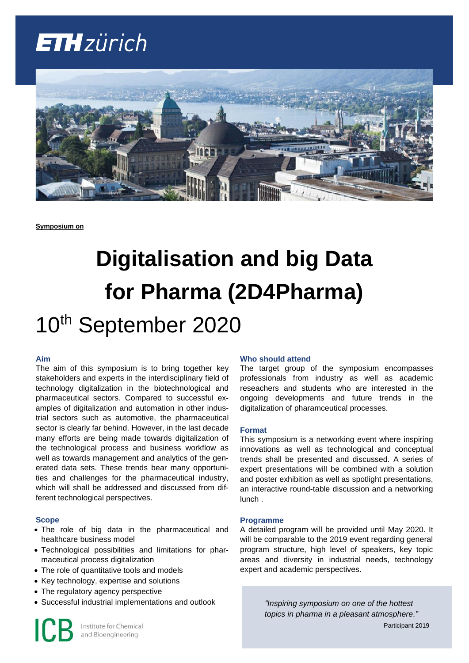## **ETH**zürich



**Symposium on**

# **Digitalisation and big Data for Pharma (2D4Pharma)**

### 10<sup>th</sup> September 2020

#### **Aim**

The aim of this symposium is to bring together key stakeholders and experts in the interdisciplinary field of technology digitalization in the biotechnological and pharmaceutical sectors. Compared to successful examples of digitalization and automation in other industrial sectors such as automotive, the pharmaceutical sector is clearly far behind. However, in the last decade many efforts are being made towards digitalization of the technological process and business workflow as well as towards management and analytics of the generated data sets. These trends bear many opportunities and challenges for the pharmaceutical industry, which will shall be addressed and discussed from different technological perspectives.

#### **Scope**

- The role of big data in the pharmaceutical and healthcare business model
- Technological possibilities and limitations for pharmaceutical process digitalization
- The role of quantitative tools and models
- Key technology, expertise and solutions
- The regulatory agency perspective
- Successful industrial implementations and outlook

#### **Who should attend**

The target group of the symposium encompasses professionals from industry as well as academic reseachers and students who are interested in the ongoing developments and future trends in the digitalization of pharamceutical processes.

#### **Format**

This symposium is a networking event where inspiring innovations as well as technological and conceptual trends shall be presented and discussed. A series of expert presentations will be combined with a solution and poster exhibition as well as spotlight presentations, an interactive round-table discussion and a networking lunch .

#### **Programme**

A detailed program will be provided until May 2020. It will be comparable to the 2019 event regarding general program structure, high level of speakers, key topic areas and diversity in industrial needs, technology expert and academic perspectives.

> *"Inspiring symposium on one of the hottest topics in pharma in a pleasant atmosphere."*

Participant 2019